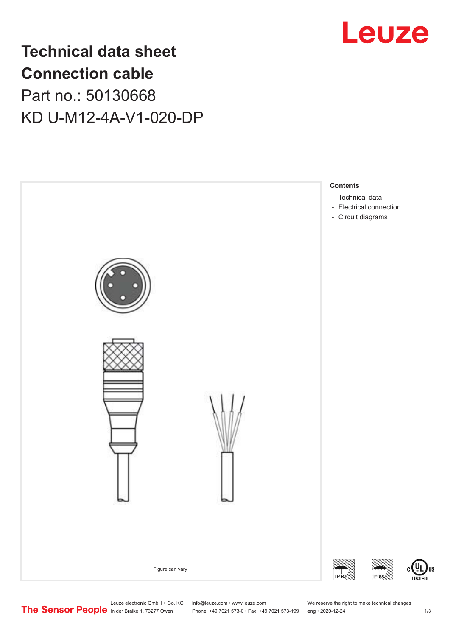

# **Technical data sheet Connection cable** Part no.: 50130668 KD U-M12-4A-V1-020-DP



Leuze electronic GmbH + Co. KG info@leuze.com • www.leuze.com We reserve the right to make technical changes<br> **The Sensor People** in der Braike 1, 73277 Owen Phone: +49 7021 573-0 • Fax: +49 7021 573-199 eng • 2020-12-24

Phone: +49 7021 573-0 • Fax: +49 7021 573-199 eng • 2020-12-24 1 2020-12-24

US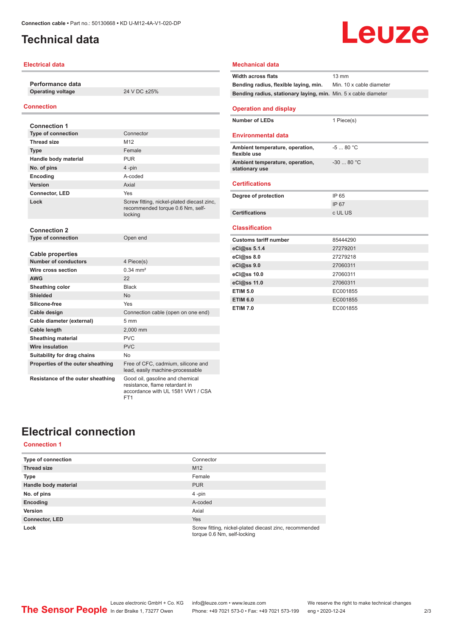## <span id="page-1-0"></span>**Technical data**

#### **Electrical data**

**Performance data Operating voltage** 24 V DC ±25%

#### **Connection**

| <b>Connection 1</b>                                    |                                                                                                        |
|--------------------------------------------------------|--------------------------------------------------------------------------------------------------------|
| <b>Type of connection</b>                              | Connector                                                                                              |
| <b>Thread size</b>                                     | M <sub>12</sub>                                                                                        |
| <b>Type</b>                                            | Female                                                                                                 |
| Handle body material                                   | <b>PUR</b>                                                                                             |
| No. of pins                                            | 4-pin                                                                                                  |
| Encoding                                               | A-coded                                                                                                |
| Version                                                | Axial                                                                                                  |
| Connector, LED                                         | Yes                                                                                                    |
| Lock                                                   | Screw fitting, nickel-plated diecast zinc,<br>recommended torque 0.6 Nm, self-<br>locking              |
| <b>Connection 2</b>                                    |                                                                                                        |
| <b>Type of connection</b>                              | Open end                                                                                               |
| <b>Cable properties</b><br><b>Number of conductors</b> | 4 Piece(s)                                                                                             |
| Wire cross section                                     | $0.34 \, \text{mm}^2$                                                                                  |
| <b>AWG</b>                                             | 22                                                                                                     |
| Sheathing color                                        | <b>Black</b>                                                                                           |
| <b>Shielded</b>                                        | <b>No</b>                                                                                              |
| Silicone-free                                          | Yes                                                                                                    |
|                                                        |                                                                                                        |
| Cable design                                           | Connection cable (open on one end)<br>5 <sub>mm</sub>                                                  |
| Cable diameter (external)                              |                                                                                                        |
| <b>Cable length</b>                                    | 2.000 mm<br>PVC                                                                                        |
| <b>Sheathing material</b>                              |                                                                                                        |
| Wire insulation                                        | <b>PVC</b>                                                                                             |
| Suitability for drag chains                            | No                                                                                                     |
| Properties of the outer sheathing                      | Free of CFC, cadmium, silicone and<br>lead, easily machine-processable                                 |
| Resistance of the outer sheathing                      | Good oil, gasoline and chemical<br>resistance, flame retardant in<br>accordance with UL 1581 VW1 / CSA |

FT1

# Leuze

| <b>Mechanical data</b>                                          |                          |
|-----------------------------------------------------------------|--------------------------|
| <b>Width across flats</b>                                       | $13 \text{ mm}$          |
| Bending radius, flexible laying, min.                           | Min. 10 x cable diameter |
| Bending radius, stationary laying, min. Min. 5 x cable diameter |                          |
| <b>Operation and display</b>                                    |                          |
| <b>Number of LEDs</b>                                           | 1 Piece(s)               |
| Environmental data                                              |                          |
| Ambient temperature, operation,<br>flexible use                 | $-580 °C$                |
| Ambient temperature, operation,<br>stationary use               | $-30$ 80 °C              |
| <b>Certifications</b>                                           |                          |
| Degree of protection                                            | IP 65                    |
|                                                                 | IP 67                    |
| <b>Certifications</b>                                           | c UL US                  |
| <b>Classification</b>                                           |                          |
| Customs tariff number                                           | 85444290                 |
| eCl@ss 5.1.4                                                    | 27279201                 |
| eCl@ss 8.0                                                      | 27279218                 |
| eCl@ss 9.0                                                      | 27060311                 |
| eCl@ss 10.0                                                     | 27060311                 |
| eCl@ss 11.0                                                     | 27060311                 |
| <b>ETIM 5.0</b>                                                 | EC001855                 |
| <b>ETIM 6.0</b>                                                 | EC001855                 |
| <b>ETIM 7.0</b>                                                 | EC001855                 |

## **Electrical connection**

#### **Connection 1**

| <b>Type of connection</b> | Connector                                                                             |
|---------------------------|---------------------------------------------------------------------------------------|
| <b>Thread size</b>        | M <sub>12</sub>                                                                       |
| <b>Type</b>               | Female                                                                                |
| Handle body material      | <b>PUR</b>                                                                            |
| No. of pins               | $4$ -pin                                                                              |
| Encoding                  | A-coded                                                                               |
| Version                   | Axial                                                                                 |
| <b>Connector, LED</b>     | <b>Yes</b>                                                                            |
| Lock                      | Screw fitting, nickel-plated diecast zinc, recommended<br>torque 0.6 Nm, self-locking |